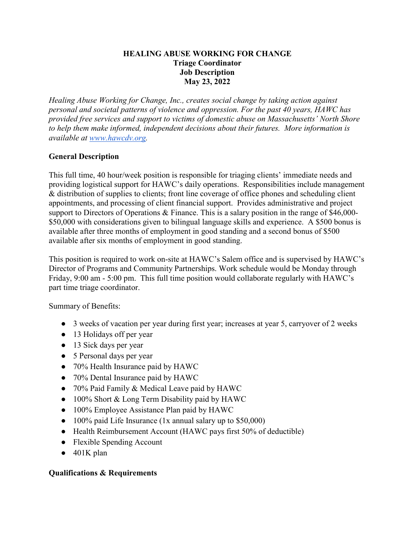## **HEALING ABUSE WORKING FOR CHANGE Triage Coordinator Job Description May 23, 2022**

*Healing Abuse Working for Change, Inc., creates social change by taking action against personal and societal patterns of violence and oppression. For the past 40 years, HAWC has provided free services and support to victims of domestic abuse on Massachusetts' North Shore to help them make informed, independent decisions about their futures. More information is available at www.hawcdv.org.*

## **General Description**

This full time, 40 hour/week position is responsible for triaging clients' immediate needs and providing logistical support for HAWC's daily operations. Responsibilities include management & distribution of supplies to clients; front line coverage of office phones and scheduling client appointments, and processing of client financial support. Provides administrative and project support to Directors of Operations & Finance. This is a salary position in the range of \$46,000-\$50,000 with considerations given to bilingual language skills and experience. A \$500 bonus is available after three months of employment in good standing and a second bonus of \$500 available after six months of employment in good standing.

This position is required to work on-site at HAWC's Salem office and is supervised by HAWC's Director of Programs and Community Partnerships. Work schedule would be Monday through Friday, 9:00 am - 5:00 pm. This full time position would collaborate regularly with HAWC's part time triage coordinator.

Summary of Benefits:

- 3 weeks of vacation per year during first year; increases at year 5, carryover of 2 weeks
- 13 Holidays off per year
- 13 Sick days per year
- 5 Personal days per year
- 70% Health Insurance paid by HAWC
- 70% Dental Insurance paid by HAWC
- 70% Paid Family & Medical Leave paid by HAWC
- 100% Short & Long Term Disability paid by HAWC
- 100% Employee Assistance Plan paid by HAWC
- 100% paid Life Insurance (1x annual salary up to \$50,000)
- Health Reimbursement Account (HAWC pays first 50% of deductible)
- Flexible Spending Account
- $\bullet$  401K plan

## **Qualifications & Requirements**